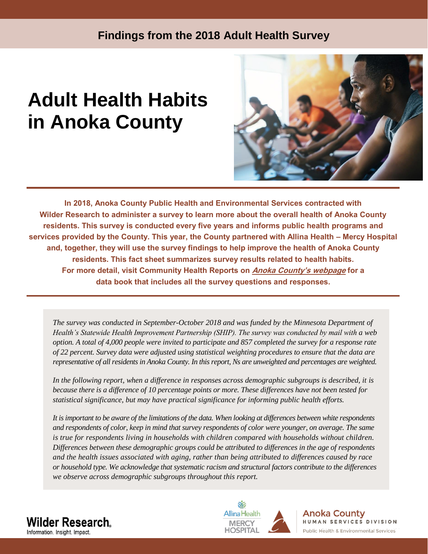# **Findings from the 2018 Adult Health Survey**

# **Adult Health Habits in Anoka County**



**In 2018, Anoka County Public Health and Environmental Services contracted with Wilder Research to administer a survey to learn more about the overall health of Anoka County residents. This survey is conducted every five years and informs public health programs and services provided by the County. This year, the County partnered with Allina Health – Mercy Hospital and, together, they will use the survey findings to help improve the health of Anoka County residents. This fact sheet summarizes survey results related to health habits. For more detail, visit Community Health Reports on [Anoka County's webpage](https://www.anokacounty.us/522/Public-Health-and-Environmental-Services) for a data book that includes all the survey questions and responses.**

*The survey was conducted in September-October 2018 and was funded by the Minnesota Department of Health's Statewide Health Improvement Partnership (SHIP). The survey was conducted by mail with a web option. A total of 4,000 people were invited to participate and 857 completed the survey for a response rate of 22 percent. Survey data were adjusted using statistical weighting procedures to ensure that the data are representative of all residents in Anoka County. In this report, Ns are unweighted and percentages are weighted.*

*In the following report, when a difference in responses across demographic subgroups is described, it is because there is a difference of 10 percentage points or more. These differences have not been tested for statistical significance, but may have practical significance for informing public health efforts.*

*It is important to be aware of the limitations of the data. When looking at differences between white respondents and respondents of color, keep in mind that survey respondents of color were younger, on average. The same is true for respondents living in households with children compared with households without children. Differences between these demographic groups could be attributed to differences in the age of respondents and the health issues associated with aging, rather than being attributed to differences caused by race or household type. We acknowledge that systematic racism and structural factors contribute to the differences we observe across demographic subgroups throughout this report.*





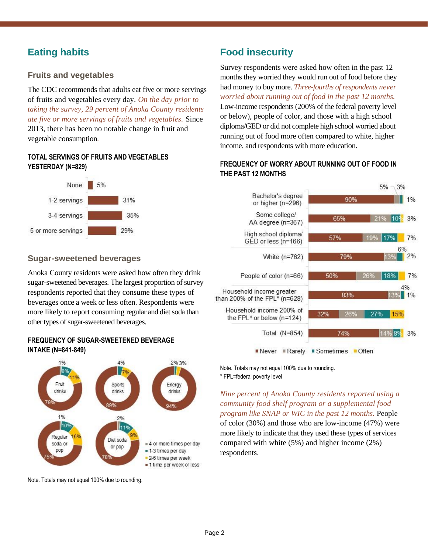# **Eating habits**

### **Fruits and vegetables**

The CDC recommends that adults eat five or more servings of fruits and vegetables every day. *On the day prior to taking the survey, 29 percent of Anoka County residents ate five or more servings of fruits and vegetables.* Since 2013, there has been no notable change in fruit and vegetable consumption*.*

### **TOTAL SERVINGS OF FRUITS AND VEGETABLES YESTERDAY (N=829)**



### **Sugar-sweetened beverages**

Anoka County residents were asked how often they drink sugar-sweetened beverages. The largest proportion of survey respondents reported that they consume these types of beverages once a week or less often. Respondents were more likely to report consuming regular and diet soda than other types of sugar-sweetened beverages.

### **FREQUENCY OF SUGAR-SWEETENED BEVERAGE INTAKE (N=841-849)**



Note. Totals may not equal 100% due to rounding.

# **Food insecurity**

Survey respondents were asked how often in the past 12 months they worried they would run out of food before they had money to buy more. *Three-fourths of respondents never worried about running out of food in the past 12 months.* Low-income respondents (200% of the federal poverty level or below), people of color, and those with a high school diploma/GED or did not complete high school worried about running out of food more often compared to white, higher income, and respondents with more education.

### **FREQUENCY OF WORRY ABOUT RUNNING OUT OF FOOD IN THE PAST 12 MONTHS**



Note. Totals may not equal 100% due to rounding. \* FPL=federal poverty level

*Nine percent of Anoka County residents reported using a community food shelf program or a supplemental food program like SNAP or WIC in the past 12 months.* People of color (30%) and those who are low-income (47%) were more likely to indicate that they used these types of services compared with white (5%) and higher income (2%) respondents.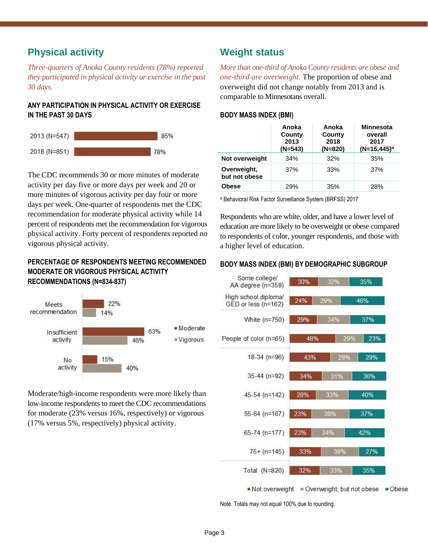### **Physical activity**

*Three-quarters of Anoka County residents (78%) reported they participated in physical activity or exercise in the past 30 days.*

### **ANY PARTICIPATION IN PHYSICAL ACTIVITY OR EXERCISE IN THE PAST 30 DAYS**



The CDC recommends 30 or more minutes of moderate activity per day five or more days per week and 20 or more minutes of vigorous activity per day four or more days per week. One-quarter of respondents met the CDC recommendation for moderate physical activity while 14 percent of respondents met the recommendation for vigorous physical activity. Forty percent of respondents reported no vigorous physical activity.

### **PERCENTAGE OF RESPONDENTS MEETING RECOMMENDED MODERATE OR VIGOROUS PHYSICAL ACTIVITY RECOMMENDATIONS (N=834-837)**



Moderate/high-income respondents were more likely than low-income respondents to meet the CDC recommendations for moderate (23% versus 16%, respectively) or vigorous (17% versus 5%, respectively) physical activity.

### **Weight status**

*More than one-third of Anoka County residents are obese and one-third are overweight.* The proportion of obese and overweight did not change notably from 2013 and is comparable to Minnesotans overall.

### **BODY MASS INDEX (BMI)**

|                              | Anoka<br>County<br>2013<br>$(N=543)$ | Anoka<br>County<br>2018<br>$(N=820)$ | <b>Minnesota</b><br>overall<br>2017<br>$(N=15, 445)^a$ |
|------------------------------|--------------------------------------|--------------------------------------|--------------------------------------------------------|
| Not overweight               | 34%                                  | 32%                                  | 35%                                                    |
| Overweight,<br>but not obese | 37%                                  | 33%                                  | 37%                                                    |
| <b>Obese</b>                 | 29%                                  | 35%                                  | 28%                                                    |

<sup>a</sup> Behavioral Risk Factor Surveillance System (BRFSS) 2017

Respondents who are white, older, and have a lower level of education are more likely to be overweight or obese compared to respondents of color, younger respondents, and those with a higher level of education.

### **BODY MASS INDEX (BMI) BY DEMOGRAPHIC SUBGROUP**



Note. Totals may not equal 100% due to rounding.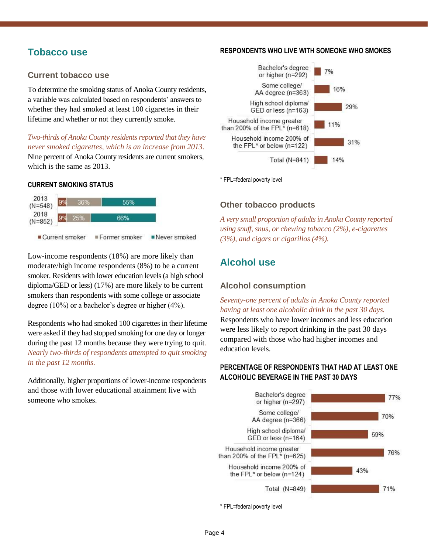### **Tobacco use**

### **Current tobacco use**

To determine the smoking status of Anoka County residents, a variable was calculated based on respondents' answers to whether they had smoked at least 100 cigarettes in their lifetime and whether or not they currently smoke.

*Two-thirds of Anoka County residents reported that they have never smoked cigarettes, which is an increase from 2013.*

Nine percent of Anoka County residents are current smokers, which is the same as 2013.

### **CURRENT SMOKING STATUS**



Low-income respondents (18%) are more likely than moderate/high income respondents (8%) to be a current smoker. Residents with lower education levels (a high school diploma/GED or less) (17%) are more likely to be current smokers than respondents with some college or associate degree (10%) or a bachelor's degree or higher (4%).

Respondents who had smoked 100 cigarettes in their lifetime were asked if they had stopped smoking for one day or longer during the past 12 months because they were trying to quit*. Nearly two-thirds of respondents attempted to quit smoking in the past 12 months.*

Additionally, higher proportions of lower-income respondents and those with lower educational attainment live with someone who smokes.

#### **RESPONDENTS WHO LIVE WITH SOMEONE WHO SMOKES**



\* FPL=federal poverty level

### **Other tobacco products**

*A very small proportion of adults in Anoka County reported using snuff, snus, or chewing tobacco (2%), e-cigarettes (3%), and cigars or cigarillos (4%).*

# **Alcohol use**

### **Alcohol consumption**

*Seventy-one percent of adults in Anoka County reported having at least one alcoholic drink in the past 30 days.*  Respondents who have lower incomes and less education were less likely to report drinking in the past 30 days compared with those who had higher incomes and education levels.

### **PERCENTAGE OF RESPONDENTS THAT HAD AT LEAST ONE ALCOHOLIC BEVERAGE IN THE PAST 30 DAYS**



<sup>\*</sup> FPL=federal poverty level